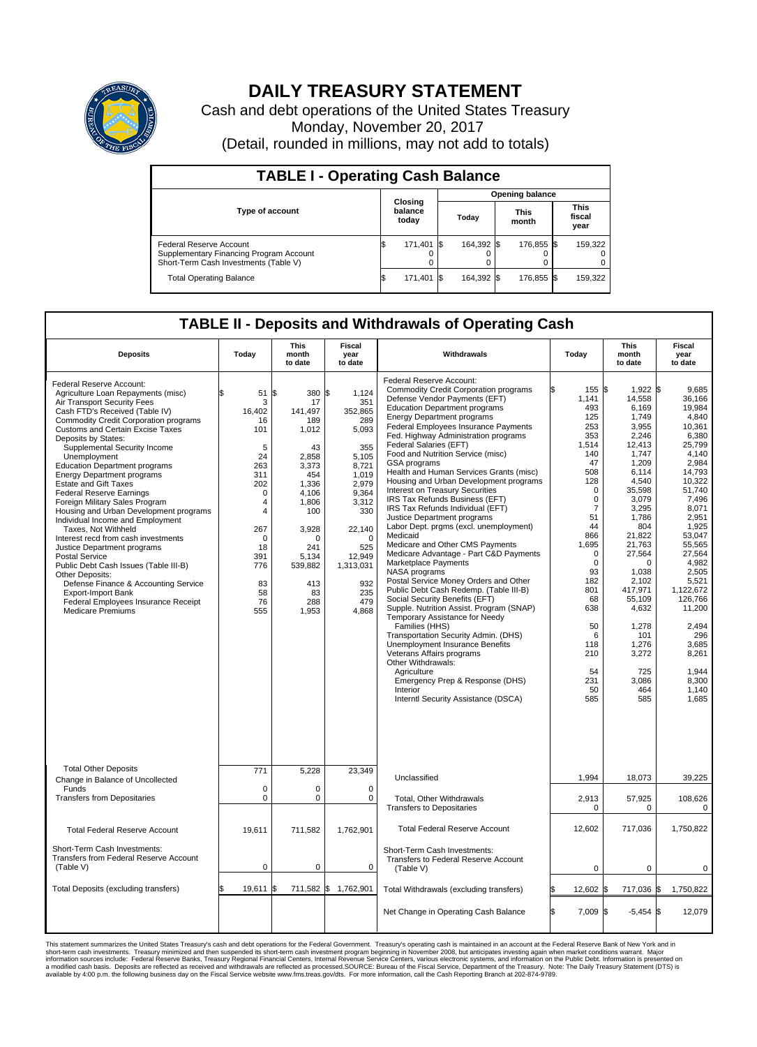

## **DAILY TREASURY STATEMENT**

Cash and debt operations of the United States Treasury Monday, November 20, 2017 (Detail, rounded in millions, may not add to totals)

| <b>TABLE I - Operating Cash Balance</b>                                                                     |    |                             |  |                        |  |                      |  |                               |  |  |  |
|-------------------------------------------------------------------------------------------------------------|----|-----------------------------|--|------------------------|--|----------------------|--|-------------------------------|--|--|--|
|                                                                                                             |    | Closing<br>balance<br>today |  | <b>Opening balance</b> |  |                      |  |                               |  |  |  |
| <b>Type of account</b>                                                                                      |    |                             |  | Today                  |  | <b>This</b><br>month |  | <b>This</b><br>fiscal<br>year |  |  |  |
| Federal Reserve Account<br>Supplementary Financing Program Account<br>Short-Term Cash Investments (Table V) |    | 171,401 \$                  |  | 164.392 \$             |  | 176,855 \$           |  | 159,322                       |  |  |  |
| <b>Total Operating Balance</b>                                                                              | IЭ | 171,401 \$                  |  | 164,392 \$             |  | 176,855 \$           |  | 159,322                       |  |  |  |

## **TABLE II - Deposits and Withdrawals of Operating Cash**

| <b>Deposits</b>                                                                                                                                                                                                                                                                                                                                                                                                                                                                                                                                                                                                                                                                                                                                                                                                                                                                      | Today                                                                                                                                                                         | <b>This</b><br>month<br>to date                                                                                                                                                           | <b>Fiscal</b><br>year<br>to date                                                                                                                                                                       | Withdrawals                                                                                                                                                                                                                                                                                                                                                                                                                                                                                                                                                                                                                                                                                                                                                                                                                                                                                                                                                                                                                                                                                                                                                                                                            | Today                                                                                                                                                                                                                                                                    | <b>This</b><br>month<br>to date                                                                                                                                                                                                                                                                            | <b>Fiscal</b><br>year<br>to date                                                                                                                                                                                                                                                                                     |
|--------------------------------------------------------------------------------------------------------------------------------------------------------------------------------------------------------------------------------------------------------------------------------------------------------------------------------------------------------------------------------------------------------------------------------------------------------------------------------------------------------------------------------------------------------------------------------------------------------------------------------------------------------------------------------------------------------------------------------------------------------------------------------------------------------------------------------------------------------------------------------------|-------------------------------------------------------------------------------------------------------------------------------------------------------------------------------|-------------------------------------------------------------------------------------------------------------------------------------------------------------------------------------------|--------------------------------------------------------------------------------------------------------------------------------------------------------------------------------------------------------|------------------------------------------------------------------------------------------------------------------------------------------------------------------------------------------------------------------------------------------------------------------------------------------------------------------------------------------------------------------------------------------------------------------------------------------------------------------------------------------------------------------------------------------------------------------------------------------------------------------------------------------------------------------------------------------------------------------------------------------------------------------------------------------------------------------------------------------------------------------------------------------------------------------------------------------------------------------------------------------------------------------------------------------------------------------------------------------------------------------------------------------------------------------------------------------------------------------------|--------------------------------------------------------------------------------------------------------------------------------------------------------------------------------------------------------------------------------------------------------------------------|------------------------------------------------------------------------------------------------------------------------------------------------------------------------------------------------------------------------------------------------------------------------------------------------------------|----------------------------------------------------------------------------------------------------------------------------------------------------------------------------------------------------------------------------------------------------------------------------------------------------------------------|
| Federal Reserve Account:<br>Agriculture Loan Repayments (misc)<br>Air Transport Security Fees<br>Cash FTD's Received (Table IV)<br><b>Commodity Credit Corporation programs</b><br><b>Customs and Certain Excise Taxes</b><br>Deposits by States:<br>Supplemental Security Income<br>Unemployment<br><b>Education Department programs</b><br><b>Energy Department programs</b><br><b>Estate and Gift Taxes</b><br><b>Federal Reserve Earnings</b><br>Foreign Military Sales Program<br>Housing and Urban Development programs<br>Individual Income and Employment<br>Taxes, Not Withheld<br>Interest recd from cash investments<br>Justice Department programs<br>Postal Service<br>Public Debt Cash Issues (Table III-B)<br>Other Deposits:<br>Defense Finance & Accounting Service<br><b>Export-Import Bank</b><br>Federal Employees Insurance Receipt<br><b>Medicare Premiums</b> | \$<br>51<br>3<br>16,402<br>16<br>101<br>5<br>24<br>263<br>311<br>202<br>$\mathbf 0$<br>4<br>$\overline{4}$<br>267<br>$\mathbf 0$<br>18<br>391<br>776<br>83<br>58<br>76<br>555 | l\$<br>380<br>17<br>141,497<br>189<br>1,012<br>43<br>2,858<br>3,373<br>454<br>1,336<br>4,106<br>1,806<br>100<br>3,928<br>$\Omega$<br>241<br>5.134<br>539,882<br>413<br>83<br>288<br>1,953 | \$<br>1,124<br>351<br>352,865<br>289<br>5,093<br>355<br>5,105<br>8,721<br>1,019<br>2.979<br>9,364<br>3,312<br>330<br>22,140<br>$\mathbf 0$<br>525<br>12,949<br>1,313,031<br>932<br>235<br>479<br>4,868 | Federal Reserve Account:<br><b>Commodity Credit Corporation programs</b><br>Defense Vendor Payments (EFT)<br><b>Education Department programs</b><br><b>Energy Department programs</b><br>Federal Employees Insurance Payments<br>Fed. Highway Administration programs<br>Federal Salaries (EFT)<br>Food and Nutrition Service (misc)<br>GSA programs<br>Health and Human Services Grants (misc)<br>Housing and Urban Development programs<br>Interest on Treasury Securities<br>IRS Tax Refunds Business (EFT)<br>IRS Tax Refunds Individual (EFT)<br>Justice Department programs<br>Labor Dept. prgms (excl. unemployment)<br>Medicaid<br>Medicare and Other CMS Payments<br>Medicare Advantage - Part C&D Payments<br>Marketplace Payments<br>NASA programs<br>Postal Service Money Orders and Other<br>Public Debt Cash Redemp. (Table III-B)<br>Social Security Benefits (EFT)<br>Supple. Nutrition Assist. Program (SNAP)<br>Temporary Assistance for Needy<br>Families (HHS)<br>Transportation Security Admin. (DHS)<br>Unemployment Insurance Benefits<br>Veterans Affairs programs<br>Other Withdrawals:<br>Agriculture<br>Emergency Prep & Response (DHS)<br>Interior<br>Interntl Security Assistance (DSCA) | 155S<br>1,141<br>493<br>125<br>253<br>353<br>1,514<br>140<br>47<br>508<br>128<br>$\Omega$<br>$\mathbf 0$<br>$\overline{7}$<br>51<br>44<br>866<br>1,695<br>$\mathbf 0$<br>$\mathbf 0$<br>93<br>182<br>801<br>68<br>638<br>50<br>6<br>118<br>210<br>54<br>231<br>50<br>585 | 1,922 \$<br>14,558<br>6,169<br>1,749<br>3,955<br>2,246<br>12,413<br>1,747<br>1,209<br>6,114<br>4,540<br>35,598<br>3,079<br>3,295<br>1.786<br>804<br>21,822<br>21,763<br>27,564<br>$\Omega$<br>1,038<br>2,102<br>417,971<br>55.109<br>4,632<br>1,278<br>101<br>1,276<br>3,272<br>725<br>3.086<br>464<br>585 | 9.685<br>36,166<br>19.984<br>4.840<br>10,361<br>6,380<br>25,799<br>4.140<br>2,984<br>14,793<br>10,322<br>51.740<br>7,496<br>8,071<br>2,951<br>1,925<br>53,047<br>55,565<br>27,564<br>4,982<br>2.505<br>5,521<br>1,122,672<br>126.766<br>11,200<br>2,494<br>296<br>3.685<br>8,261<br>1,944<br>8,300<br>1,140<br>1,685 |
| <b>Total Other Deposits</b><br>Change in Balance of Uncollected                                                                                                                                                                                                                                                                                                                                                                                                                                                                                                                                                                                                                                                                                                                                                                                                                      | 771                                                                                                                                                                           | 5,228                                                                                                                                                                                     | 23,349                                                                                                                                                                                                 | Unclassified                                                                                                                                                                                                                                                                                                                                                                                                                                                                                                                                                                                                                                                                                                                                                                                                                                                                                                                                                                                                                                                                                                                                                                                                           | 1,994                                                                                                                                                                                                                                                                    | 18,073                                                                                                                                                                                                                                                                                                     | 39.225                                                                                                                                                                                                                                                                                                               |
| Funds<br><b>Transfers from Depositaries</b>                                                                                                                                                                                                                                                                                                                                                                                                                                                                                                                                                                                                                                                                                                                                                                                                                                          | $\mathbf 0$<br>$\mathbf 0$                                                                                                                                                    | 0<br>$\Omega$                                                                                                                                                                             | $\mathbf 0$<br>$\Omega$                                                                                                                                                                                | Total, Other Withdrawals<br><b>Transfers to Depositaries</b>                                                                                                                                                                                                                                                                                                                                                                                                                                                                                                                                                                                                                                                                                                                                                                                                                                                                                                                                                                                                                                                                                                                                                           | 2,913<br>0                                                                                                                                                                                                                                                               | 57,925<br>$\Omega$                                                                                                                                                                                                                                                                                         | 108,626<br>0                                                                                                                                                                                                                                                                                                         |
| <b>Total Federal Reserve Account</b>                                                                                                                                                                                                                                                                                                                                                                                                                                                                                                                                                                                                                                                                                                                                                                                                                                                 | 19.611                                                                                                                                                                        | 711,582                                                                                                                                                                                   | 1,762,901                                                                                                                                                                                              | <b>Total Federal Reserve Account</b>                                                                                                                                                                                                                                                                                                                                                                                                                                                                                                                                                                                                                                                                                                                                                                                                                                                                                                                                                                                                                                                                                                                                                                                   | 12,602                                                                                                                                                                                                                                                                   | 717,036                                                                                                                                                                                                                                                                                                    | 1,750,822                                                                                                                                                                                                                                                                                                            |
| Short-Term Cash Investments:<br><b>Transfers from Federal Reserve Account</b><br>(Table V)                                                                                                                                                                                                                                                                                                                                                                                                                                                                                                                                                                                                                                                                                                                                                                                           | $\mathbf 0$                                                                                                                                                                   | 0                                                                                                                                                                                         | $\mathbf 0$                                                                                                                                                                                            | Short-Term Cash Investments:<br>Transfers to Federal Reserve Account<br>(Table V)                                                                                                                                                                                                                                                                                                                                                                                                                                                                                                                                                                                                                                                                                                                                                                                                                                                                                                                                                                                                                                                                                                                                      | 0                                                                                                                                                                                                                                                                        | 0                                                                                                                                                                                                                                                                                                          | 0                                                                                                                                                                                                                                                                                                                    |
| Total Deposits (excluding transfers)                                                                                                                                                                                                                                                                                                                                                                                                                                                                                                                                                                                                                                                                                                                                                                                                                                                 | 19,611                                                                                                                                                                        | 711,582 \$                                                                                                                                                                                | 1,762,901                                                                                                                                                                                              | Total Withdrawals (excluding transfers)                                                                                                                                                                                                                                                                                                                                                                                                                                                                                                                                                                                                                                                                                                                                                                                                                                                                                                                                                                                                                                                                                                                                                                                | 12,602                                                                                                                                                                                                                                                                   | 717,036 \$                                                                                                                                                                                                                                                                                                 | 1,750,822                                                                                                                                                                                                                                                                                                            |
|                                                                                                                                                                                                                                                                                                                                                                                                                                                                                                                                                                                                                                                                                                                                                                                                                                                                                      |                                                                                                                                                                               |                                                                                                                                                                                           |                                                                                                                                                                                                        | Net Change in Operating Cash Balance                                                                                                                                                                                                                                                                                                                                                                                                                                                                                                                                                                                                                                                                                                                                                                                                                                                                                                                                                                                                                                                                                                                                                                                   | Ŝ.<br>$7,009$ \$                                                                                                                                                                                                                                                         | $-5,454$ \$                                                                                                                                                                                                                                                                                                | 12,079                                                                                                                                                                                                                                                                                                               |

This statement summarizes the United States Treasury's cash and debt operations for the Federal Government. Treasury's operating in November 2008, but anticingates investment summarket conditions warrant. Major<br>short-term